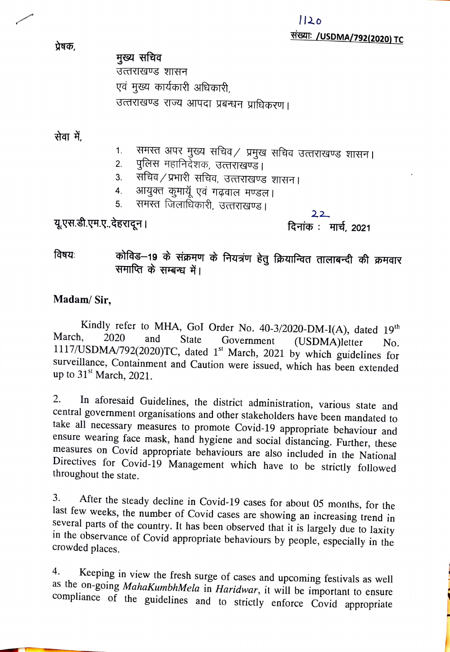प्रेषक,

मुख्य सचिव उत्तराखण्ड शासन एवं मुख्य कार्यकारी अधिकारी, उत्तराखण्ड राज्य आपदा प्रबन्धन प्राधिकरण।

सेवा में.

- समस्त अपर मुख्य सचिव/ प्रमुख सचिव उत्तराखण्ड शासन।  $1<sub>1</sub>$
- पुलिस महानिदेशक, उत्तराखण्ड। 2.
- 3. सचिव ⁄ प्रभारी सचिव, उत्तराखण्ड शासन।<br>4. आयुक्त कुमायूॅ एवं गढ़वाल मण्डल।
- 4.
- 5. समस्त जिलाधिकारी, उत्तराखण्ड।

यू.एस.डी.एम.ए.,देहरादून।

दिनांक: मार्च, 2021

22

विषयः कोविड–19 के संक्रमण के नियत्रंण हेतु क्रियान्वित तालाबन्दी की क्रमवार समाप्ति के सम्बन्ध में।

## Madam/ Sir,

Kindly refer to MHA, Gol Order No. 40-3/2020-DM-I(A), dated 19<sup>th</sup><br>March, 2020 and State Government (USDMA)latter, N. March, 2020 and State Government (USDMA)letter No. 1117/USDMA/792(2020)TC, dated 1<sup>st</sup> March, 2021 by which guidelines for surveillance, Containment and Caution were issued, which has been extended up to  $31<sup>st</sup>$  March, 2021.

2. In aforesaid Guidelines, the district administration, various state and central government organisations and other stakeholders have been mandated to take all necessary measures to promote Covid-19 appropriate behaviour 2.

3. After the steady decline in Covid-19 cases for about 05 months, for the last few weeks, the number of Covid cases are showing an increasing trend in several parts of the country. It has been observed that it is largely 3.

4. Keeping in view the fresh surge of cases and upcoming festivals as well as the on-going *MahaKumbhMela* in *Haridwar*, it will be important to ensure compliance of the guidelines and to strictly enforce Covid appropriat 4.